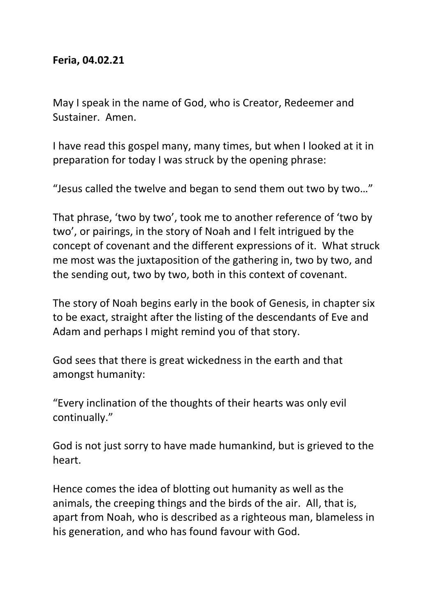## **Feria, 04.02.21**

May I speak in the name of God, who is Creator, Redeemer and Sustainer. Amen.

I have read this gospel many, many times, but when I looked at it in preparation for today I was struck by the opening phrase:

"Jesus called the twelve and began to send them out two by two…"

That phrase, 'two by two', took me to another reference of 'two by two', or pairings, in the story of Noah and I felt intrigued by the concept of covenant and the different expressions of it. What struck me most was the juxtaposition of the gathering in, two by two, and the sending out, two by two, both in this context of covenant.

The story of Noah begins early in the book of Genesis, in chapter six to be exact, straight after the listing of the descendants of Eve and Adam and perhaps I might remind you of that story.

God sees that there is great wickedness in the earth and that amongst humanity:

"Every inclination of the thoughts of their hearts was only evil continually."

God is not just sorry to have made humankind, but is grieved to the heart.

Hence comes the idea of blotting out humanity as well as the animals, the creeping things and the birds of the air. All, that is, apart from Noah, who is described as a righteous man, blameless in his generation, and who has found favour with God.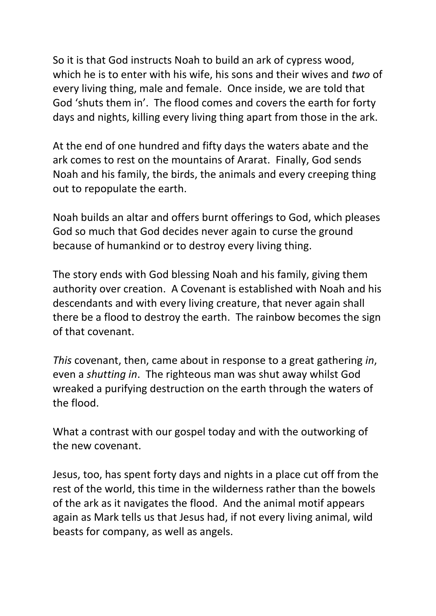So it is that God instructs Noah to build an ark of cypress wood, which he is to enter with his wife, his sons and their wives and *two* of every living thing, male and female. Once inside, we are told that God 'shuts them in'. The flood comes and covers the earth for forty days and nights, killing every living thing apart from those in the ark.

At the end of one hundred and fifty days the waters abate and the ark comes to rest on the mountains of Ararat. Finally, God sends Noah and his family, the birds, the animals and every creeping thing out to repopulate the earth.

Noah builds an altar and offers burnt offerings to God, which pleases God so much that God decides never again to curse the ground because of humankind or to destroy every living thing.

The story ends with God blessing Noah and his family, giving them authority over creation. A Covenant is established with Noah and his descendants and with every living creature, that never again shall there be a flood to destroy the earth. The rainbow becomes the sign of that covenant.

*This* covenant, then, came about in response to a great gathering *in*, even a *shutting in*. The righteous man was shut away whilst God wreaked a purifying destruction on the earth through the waters of the flood.

What a contrast with our gospel today and with the outworking of the new covenant.

Jesus, too, has spent forty days and nights in a place cut off from the rest of the world, this time in the wilderness rather than the bowels of the ark as it navigates the flood. And the animal motif appears again as Mark tells us that Jesus had, if not every living animal, wild beasts for company, as well as angels.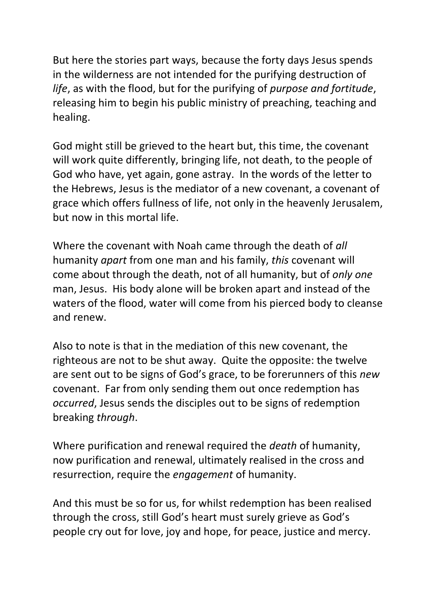But here the stories part ways, because the forty days Jesus spends in the wilderness are not intended for the purifying destruction of *life*, as with the flood, but for the purifying of *purpose and fortitude*, releasing him to begin his public ministry of preaching, teaching and healing.

God might still be grieved to the heart but, this time, the covenant will work quite differently, bringing life, not death, to the people of God who have, yet again, gone astray. In the words of the letter to the Hebrews, Jesus is the mediator of a new covenant, a covenant of grace which offers fullness of life, not only in the heavenly Jerusalem, but now in this mortal life.

Where the covenant with Noah came through the death of *all* humanity *apart* from one man and his family, *this* covenant will come about through the death, not of all humanity, but of *only one* man, Jesus. His body alone will be broken apart and instead of the waters of the flood, water will come from his pierced body to cleanse and renew.

Also to note is that in the mediation of this new covenant, the righteous are not to be shut away. Quite the opposite: the twelve are sent out to be signs of God's grace, to be forerunners of this *new* covenant. Far from only sending them out once redemption has *occurred*, Jesus sends the disciples out to be signs of redemption breaking *through*.

Where purification and renewal required the *death* of humanity, now purification and renewal, ultimately realised in the cross and resurrection, require the *engagement* of humanity.

And this must be so for us, for whilst redemption has been realised through the cross, still God's heart must surely grieve as God's people cry out for love, joy and hope, for peace, justice and mercy.